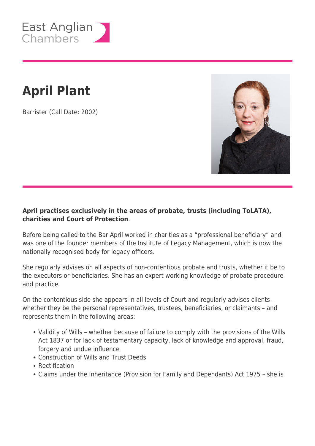

# **April Plant**

Barrister (Call Date: 2002)



#### **April practises exclusively in the areas of probate, trusts (including ToLATA), charities and Court of Protection**.

Before being called to the Bar April worked in charities as a "professional beneficiary" and was one of the founder members of the Institute of Legacy Management, which is now the nationally recognised body for legacy officers.

She regularly advises on all aspects of non-contentious probate and trusts, whether it be to the executors or beneficiaries. She has an expert working knowledge of probate procedure and practice.

On the contentious side she appears in all levels of Court and regularly advises clients – whether they be the personal representatives, trustees, beneficiaries, or claimants – and represents them in the following areas:

- Validity of Wills whether because of failure to comply with the provisions of the Wills Act 1837 or for lack of testamentary capacity, lack of knowledge and approval, fraud, forgery and undue influence
- Construction of Wills and Trust Deeds
- Rectification
- Claims under the Inheritance (Provision for Family and Dependants) Act 1975 she is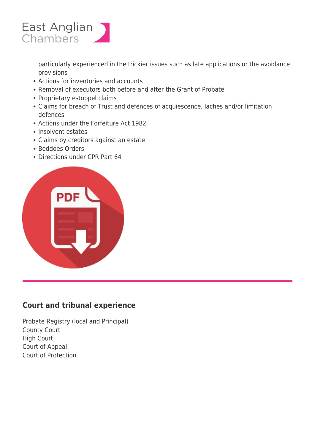

particularly experienced in the trickier issues such as late applications or the avoidance provisions

- Actions for inventories and accounts
- Removal of executors both before and after the Grant of Probate
- Proprietary estoppel claims
- Claims for breach of Trust and defences of acquiescence, laches and/or limitation defences
- Actions under the Forfeiture Act 1982
- Insolvent estates
- Claims by creditors against an estate
- Beddoes Orders
- Directions under CPR Part 64



## **Court and tribunal experience**

Probate Registry (local and Principal) County Court High Court Court of Appeal Court of Protection